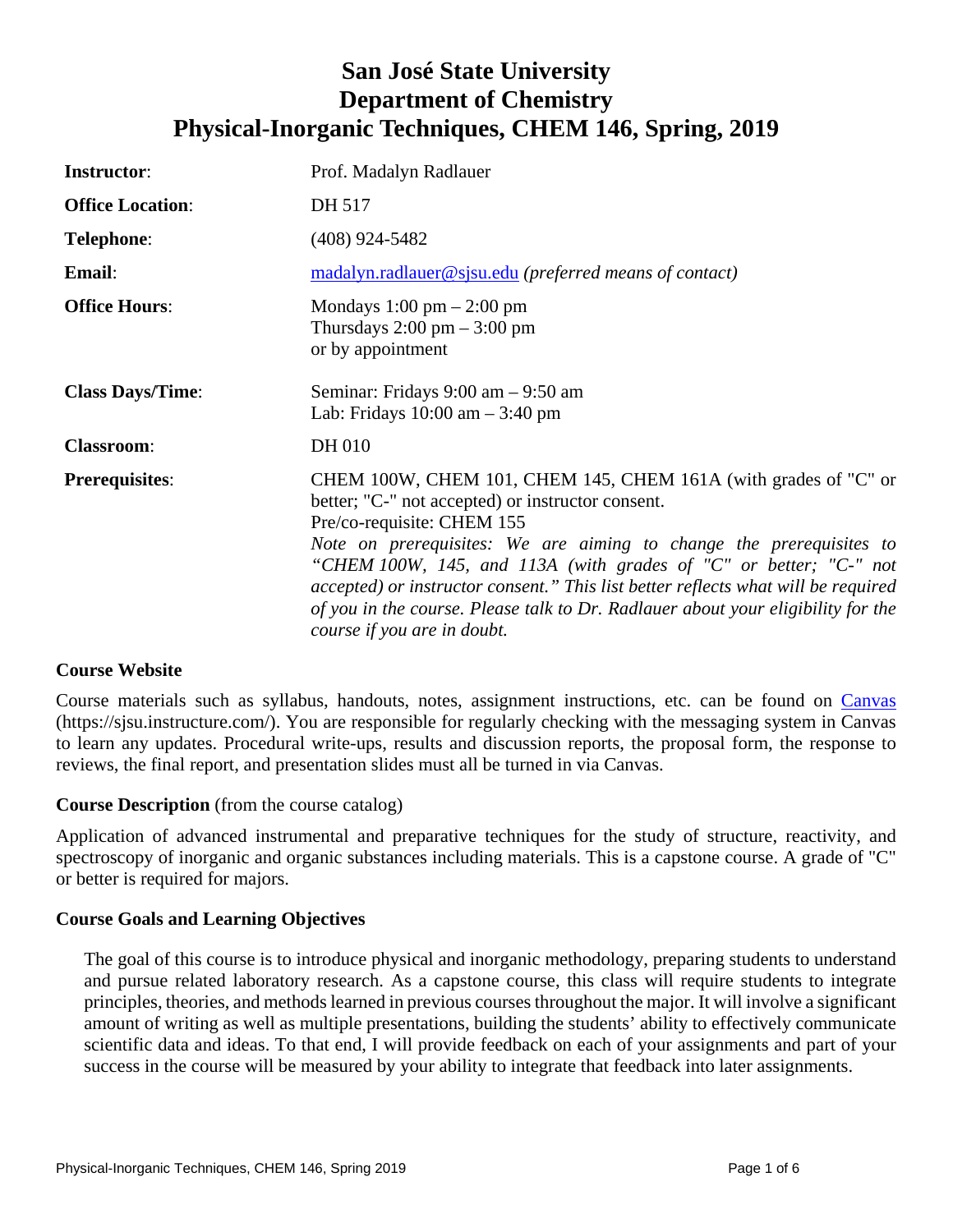# **San José State University Department of Chemistry Physical-Inorganic Techniques, CHEM 146, Spring, 2019**

| <b>Instructor:</b>      | Prof. Madalyn Radlauer                                                                                                                                                                                                                                                                                                                                                                                                                                                                                 |
|-------------------------|--------------------------------------------------------------------------------------------------------------------------------------------------------------------------------------------------------------------------------------------------------------------------------------------------------------------------------------------------------------------------------------------------------------------------------------------------------------------------------------------------------|
| <b>Office Location:</b> | DH 517                                                                                                                                                                                                                                                                                                                                                                                                                                                                                                 |
| <b>Telephone:</b>       | $(408)$ 924-5482                                                                                                                                                                                                                                                                                                                                                                                                                                                                                       |
| Email:                  | madalyn.radlauer@sjsu.edu (preferred means of contact)                                                                                                                                                                                                                                                                                                                                                                                                                                                 |
| <b>Office Hours:</b>    | Mondays $1:00 \text{ pm} - 2:00 \text{ pm}$<br>Thursdays $2:00 \text{ pm} - 3:00 \text{ pm}$<br>or by appointment                                                                                                                                                                                                                                                                                                                                                                                      |
| <b>Class Days/Time:</b> | Seminar: Fridays 9:00 am - 9:50 am<br>Lab: Fridays $10:00$ am $-3:40$ pm                                                                                                                                                                                                                                                                                                                                                                                                                               |
| <b>Classroom:</b>       | DH 010                                                                                                                                                                                                                                                                                                                                                                                                                                                                                                 |
| <b>Prerequisites:</b>   | CHEM 100W, CHEM 101, CHEM 145, CHEM 161A (with grades of "C" or<br>better; "C-" not accepted) or instructor consent.<br>Pre/co-requisite: CHEM 155<br>Note on prerequisites: We are aiming to change the prerequisites to<br>"CHEM 100W, 145, and 113A (with grades of "C" or better; "C-" not<br>accepted) or instructor consent." This list better reflects what will be required<br>of you in the course. Please talk to Dr. Radlauer about your eligibility for the<br>course if you are in doubt. |

## **Course Website**

Course materials such as syllabus, handouts, notes, assignment instructions, etc. can be found on [Canvas](https://sjsu.instructure.com/) (https://sjsu.instructure.com/). You are responsible for regularly checking with the messaging system in Canvas to learn any updates. Procedural write-ups, results and discussion reports, the proposal form, the response to reviews, the final report, and presentation slides must all be turned in via Canvas.

## **Course Description** (from the course catalog)

Application of advanced instrumental and preparative techniques for the study of structure, reactivity, and spectroscopy of inorganic and organic substances including materials. This is a capstone course. A grade of "C" or better is required for majors.

## **Course Goals and Learning Objectives**

The goal of this course is to introduce physical and inorganic methodology, preparing students to understand and pursue related laboratory research. As a capstone course, this class will require students to integrate principles, theories, and methods learned in previous courses throughout the major. It will involve a significant amount of writing as well as multiple presentations, building the students' ability to effectively communicate scientific data and ideas. To that end, I will provide feedback on each of your assignments and part of your success in the course will be measured by your ability to integrate that feedback into later assignments.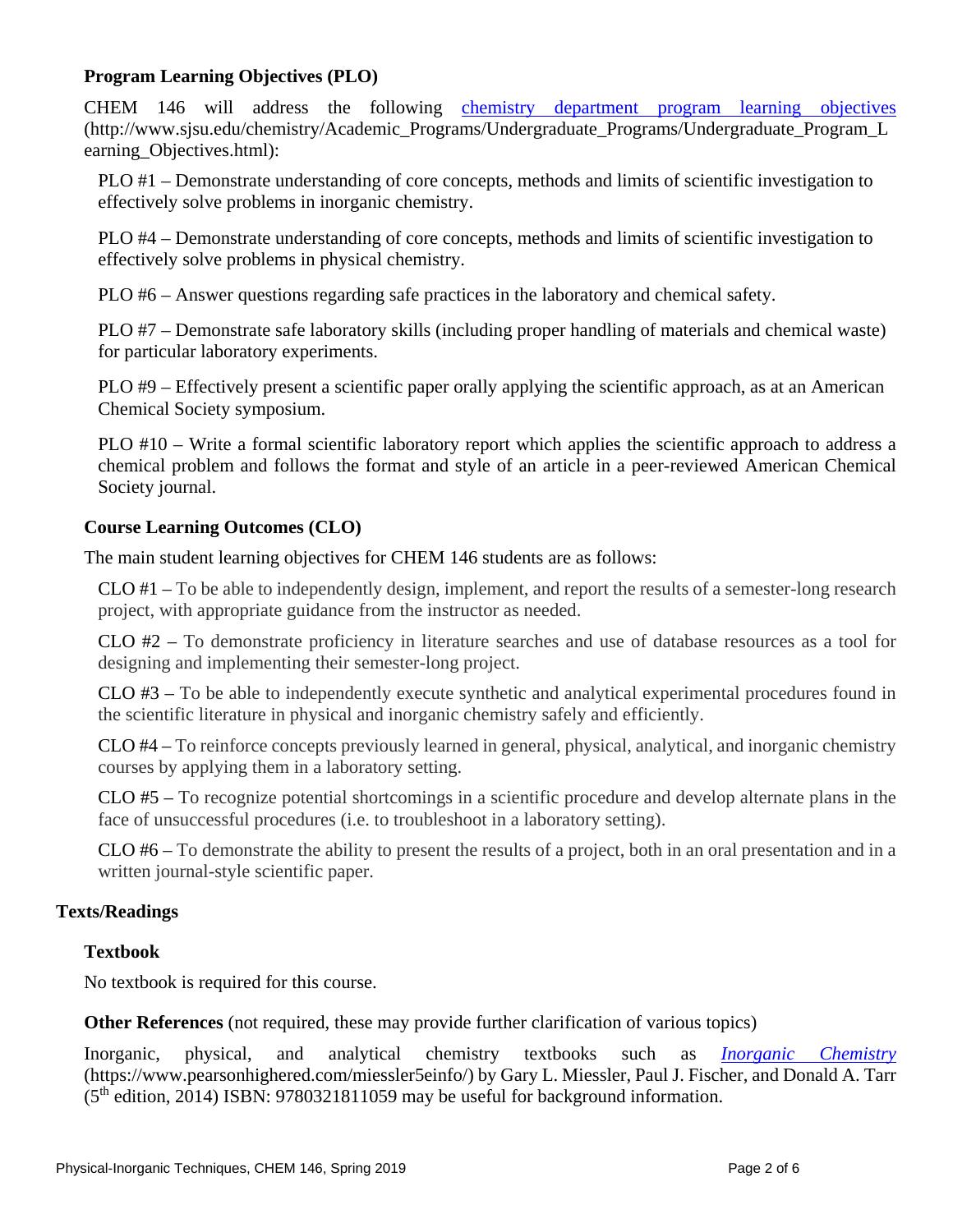# **Program Learning Objectives (PLO)**

CHEM 146 will address the following [chemistry department program learning objectives](http://www.sjsu.edu/chemistry/Academic_Programs/Undergraduate_Programs/Undergraduate_Program_Learning_Objectives.html) (http://www.sjsu.edu/chemistry/Academic\_Programs/Undergraduate\_Programs/Undergraduate\_Program\_L earning Objectives.html):

PLO #1 – Demonstrate understanding of core concepts, methods and limits of scientific investigation to effectively solve problems in inorganic chemistry.

PLO #4 – Demonstrate understanding of core concepts, methods and limits of scientific investigation to effectively solve problems in physical chemistry.

PLO #6 – Answer questions regarding safe practices in the laboratory and chemical safety.

PLO #7 – Demonstrate safe laboratory skills (including proper handling of materials and chemical waste) for particular laboratory experiments.

PLO #9 – Effectively present a scientific paper orally applying the scientific approach, as at an American Chemical Society symposium.

PLO #10 – Write a formal scientific laboratory report which applies the scientific approach to address a chemical problem and follows the format and style of an article in a peer-reviewed American Chemical Society journal.

# **Course Learning Outcomes (CLO)**

The main student learning objectives for CHEM 146 students are as follows:

CLO #1 – To be able to independently design, implement, and report the results of a semester-long research project, with appropriate guidance from the instructor as needed.

CLO #2 – To demonstrate proficiency in literature searches and use of database resources as a tool for designing and implementing their semester-long project.

CLO #3 – To be able to independently execute synthetic and analytical experimental procedures found in the scientific literature in physical and inorganic chemistry safely and efficiently.

CLO #4 – To reinforce concepts previously learned in general, physical, analytical, and inorganic chemistry courses by applying them in a laboratory setting.

CLO #5 – To recognize potential shortcomings in a scientific procedure and develop alternate plans in the face of unsuccessful procedures (i.e. to troubleshoot in a laboratory setting).

CLO #6 – To demonstrate the ability to present the results of a project, both in an oral presentation and in a written journal-style scientific paper.

# **Texts/Readings**

# **Textbook**

No textbook is required for this course.

**Other References** (not required, these may provide further clarification of various topics)

Inorganic, physical, and analytical chemistry textbooks such as *[Inorganic Chemistry](https://www.pearsonhighered.com/miessler5einfo/)* (https://www.pearsonhighered.com/miessler5einfo/) by Gary L. Miessler, Paul J. Fischer, and Donald A. Tarr  $(5<sup>th</sup> edition, 2014) ISBN: 9780321811059$  may be useful for background information.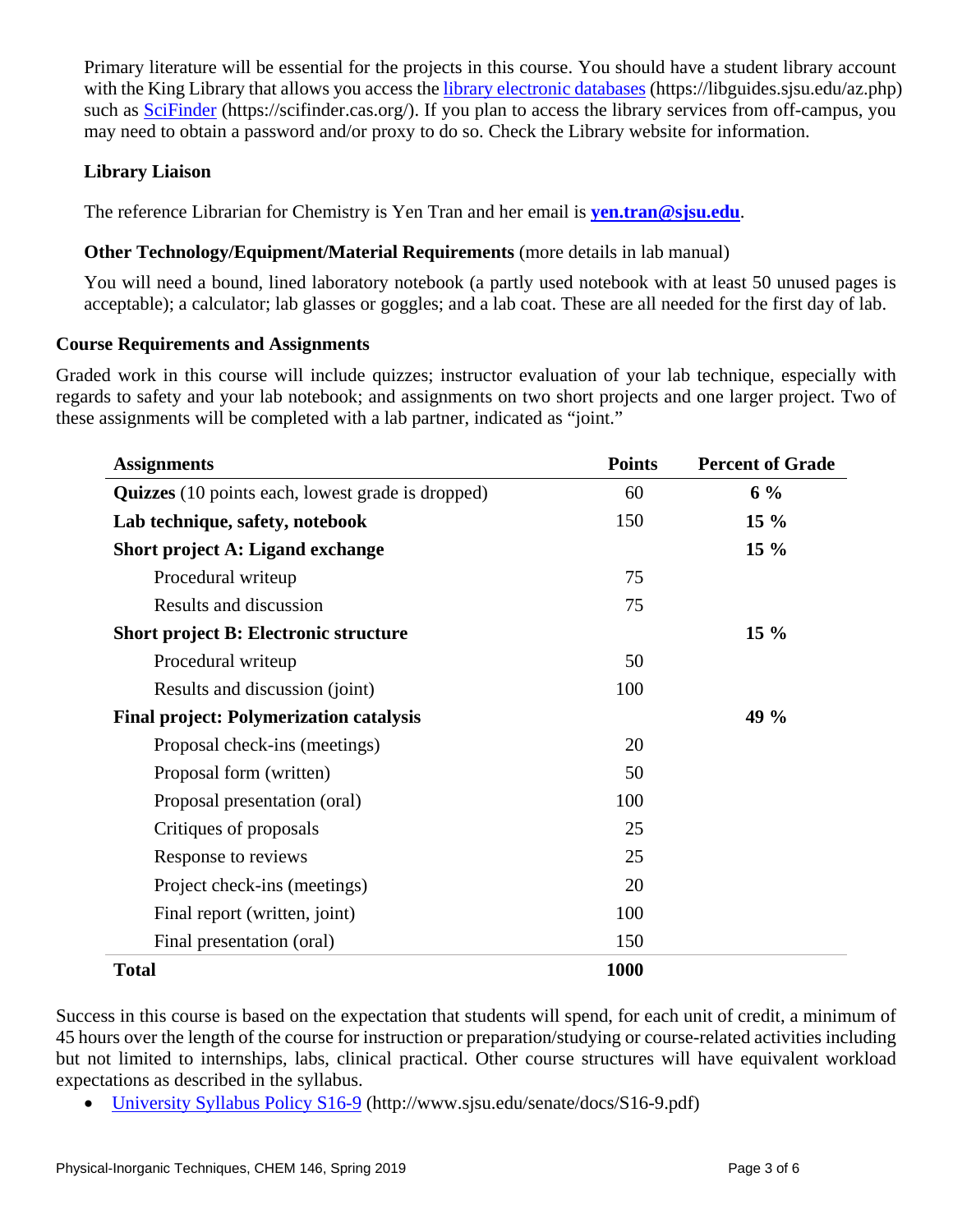Primary literature will be essential for the projects in this course. You should have a student library account with the King Library that allows you access the [library electronic databases](https://libguides.sjsu.edu/az.php) (https://libguides.sjsu.edu/az.php) such as [SciFinder](https://scifinder.cas.org/) (https://scifinder.cas.org/). If you plan to access the library services from off-campus, you may need to obtain a password and/or proxy to do so. Check the Library website for information.

# **Library Liaison**

The reference Librarian for Chemistry is Yen Tran and her email is **[yen.tran@sjsu.edu](mailto:yen.tran@sjsu.edu)**.

# **Other Technology/Equipment/Material Requirements** (more details in lab manual)

You will need a bound, lined laboratory notebook (a partly used notebook with at least 50 unused pages is acceptable); a calculator; lab glasses or goggles; and a lab coat. These are all needed for the first day of lab.

## **Course Requirements and Assignments**

Graded work in this course will include quizzes; instructor evaluation of your lab technique, especially with regards to safety and your lab notebook; and assignments on two short projects and one larger project. Two of these assignments will be completed with a lab partner, indicated as "joint."

| <b>Assignments</b>                                       | <b>Points</b> | <b>Percent of Grade</b> |
|----------------------------------------------------------|---------------|-------------------------|
| <b>Quizzes</b> (10 points each, lowest grade is dropped) | 60            | $6\%$                   |
| Lab technique, safety, notebook                          | 150           | $15\%$                  |
| <b>Short project A: Ligand exchange</b>                  |               | $15\%$                  |
| Procedural writeup                                       | 75            |                         |
| Results and discussion                                   | 75            |                         |
| <b>Short project B: Electronic structure</b>             |               | $15\%$                  |
| Procedural writeup                                       | 50            |                         |
| Results and discussion (joint)                           | 100           |                         |
| <b>Final project: Polymerization catalysis</b>           |               | 49 %                    |
| Proposal check-ins (meetings)                            | 20            |                         |
| Proposal form (written)                                  | 50            |                         |
| Proposal presentation (oral)                             | 100           |                         |
| Critiques of proposals                                   | 25            |                         |
| Response to reviews                                      | 25            |                         |
| Project check-ins (meetings)                             | 20            |                         |
| Final report (written, joint)                            | 100           |                         |
| Final presentation (oral)                                | 150           |                         |
| <b>Total</b>                                             | 1000          |                         |

Success in this course is based on the expectation that students will spend, for each unit of credit, a minimum of 45 hours over the length of the course for instruction or preparation/studying or course-related activities including but not limited to internships, labs, clinical practical. Other course structures will have equivalent workload expectations as described in the syllabus.

• [University Syllabus Policy S16-9](http://www.sjsu.edu/senate/docs/S16-9.pdf) (http://www.sjsu.edu/senate/docs/S16-9.pdf)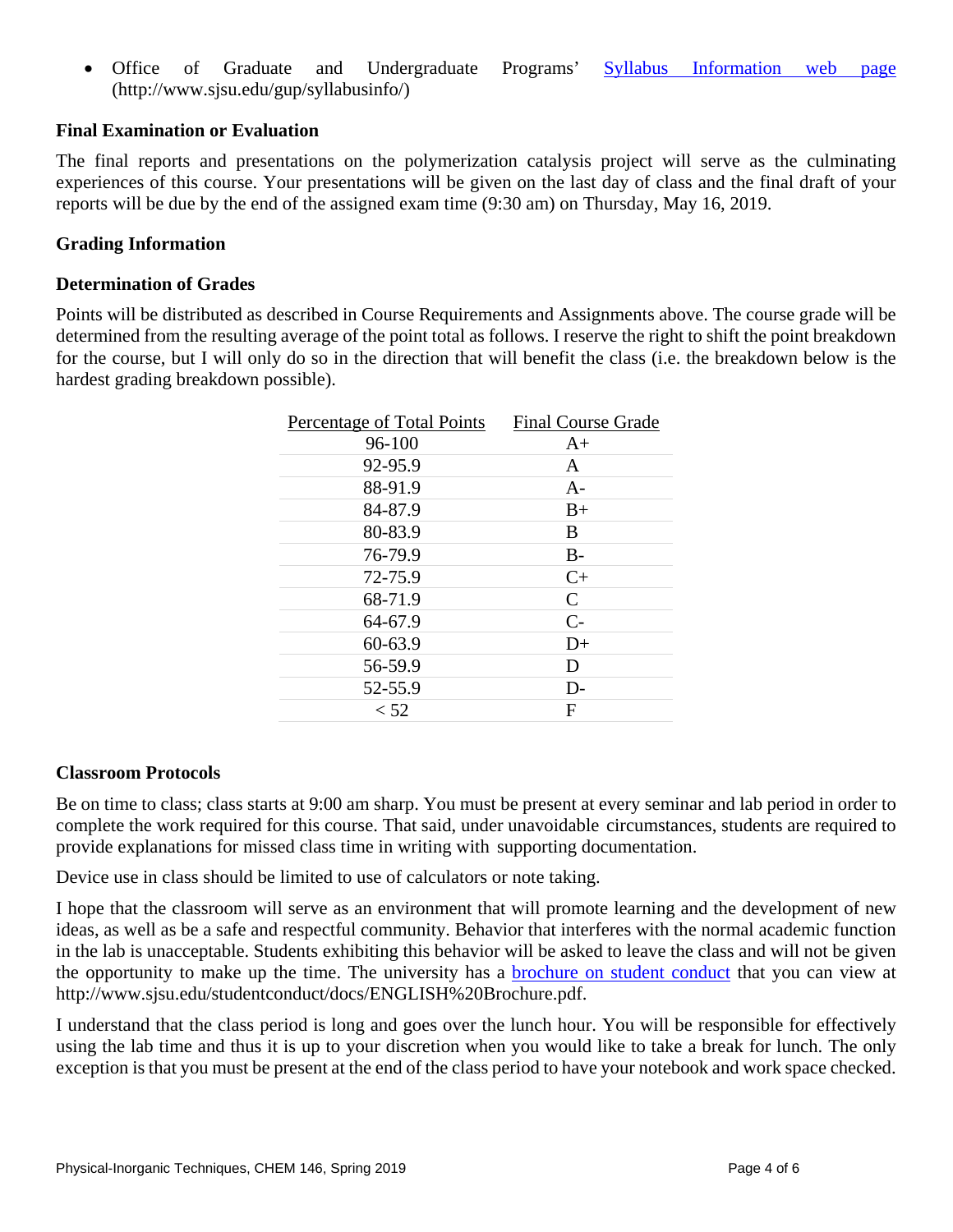• Office of Graduate and Undergraduate Programs' [Syllabus Information web page](http://www.sjsu.edu/gup/syllabusinfo/) (http://www.sjsu.edu/gup/syllabusinfo/)

## **Final Examination or Evaluation**

The final reports and presentations on the polymerization catalysis project will serve as the culminating experiences of this course. Your presentations will be given on the last day of class and the final draft of your reports will be due by the end of the assigned exam time (9:30 am) on Thursday, May 16, 2019.

## **Grading Information**

#### **Determination of Grades**

Points will be distributed as described in Course Requirements and Assignments above. The course grade will be determined from the resulting average of the point total as follows. I reserve the right to shift the point breakdown for the course, but I will only do so in the direction that will benefit the class (i.e. the breakdown below is the hardest grading breakdown possible).

| Percentage of Total Points | <b>Final Course Grade</b> |
|----------------------------|---------------------------|
| 96-100                     | $A+$                      |
| 92-95.9                    | A                         |
| 88-91.9                    | $A-$                      |
| 84-87.9                    | $B+$                      |
| 80-83.9                    | B                         |
| 76-79.9                    | $B-$                      |
| 72-75.9                    | $C+$                      |
| 68-71.9                    | $\mathcal{C}$             |
| 64-67.9                    | $C-$                      |
| 60-63.9                    | $D+$                      |
| 56-59.9                    | D                         |
| 52-55.9                    | $D-$                      |
| < 52                       | F                         |
|                            |                           |

#### **Classroom Protocols**

Be on time to class; class starts at 9:00 am sharp. You must be present at every seminar and lab period in order to complete the work required for this course. That said, under unavoidable circumstances, students are required to provide explanations for missed class time in writing with supporting documentation.

Device use in class should be limited to use of calculators or note taking.

I hope that the classroom will serve as an environment that will promote learning and the development of new ideas, as well as be a safe and respectful community. Behavior that interferes with the normal academic function in the lab is unacceptable. Students exhibiting this behavior will be asked to leave the class and will not be given the opportunity to make up the time. The university has a **brochure** on student conduct that you can view at http://www.sjsu.edu/studentconduct/docs/ENGLISH%20Brochure.pdf.

I understand that the class period is long and goes over the lunch hour. You will be responsible for effectively using the lab time and thus it is up to your discretion when you would like to take a break for lunch. The only exception is that you must be present at the end of the class period to have your notebook and work space checked.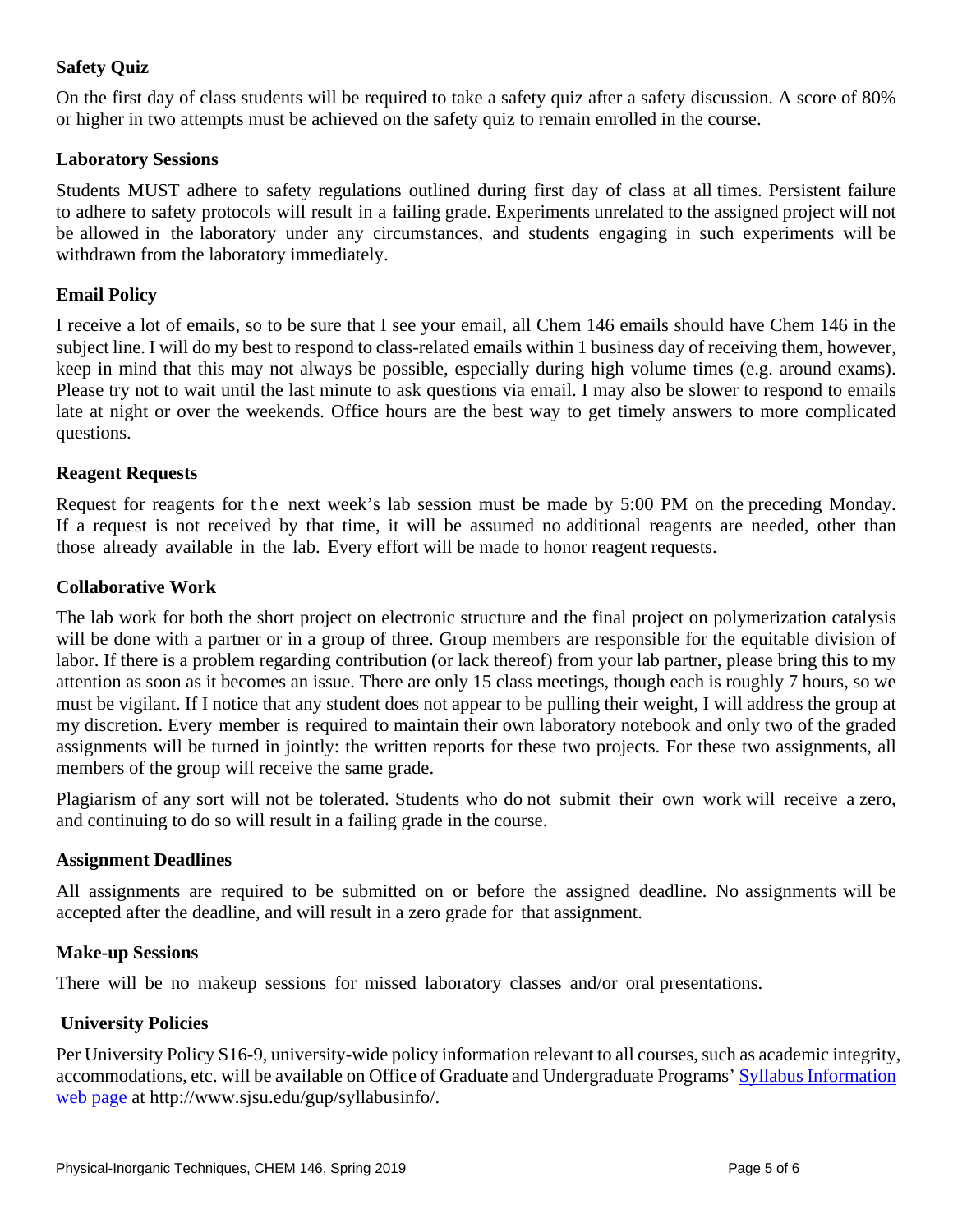# **Safety Quiz**

On the first day of class students will be required to take a safety quiz after a safety discussion. A score of 80% or higher in two attempts must be achieved on the safety quiz to remain enrolled in the course.

### **Laboratory Sessions**

Students MUST adhere to safety regulations outlined during first day of class at all times. Persistent failure to adhere to safety protocols will result in a failing grade. Experiments unrelated to the assigned project will not be allowed in the laboratory under any circumstances, and students engaging in such experiments will be withdrawn from the laboratory immediately.

### **Email Policy**

I receive a lot of emails, so to be sure that I see your email, all Chem 146 emails should have Chem 146 in the subject line. I will do my best to respond to class-related emails within 1 business day of receiving them, however, keep in mind that this may not always be possible, especially during high volume times (e.g. around exams). Please try not to wait until the last minute to ask questions via email. I may also be slower to respond to emails late at night or over the weekends. Office hours are the best way to get timely answers to more complicated questions.

#### **Reagent Requests**

Request for reagents for the next week's lab session must be made by 5:00 PM on the preceding Monday. If a request is not received by that time, it will be assumed no additional reagents are needed, other than those already available in the lab. Every effort will be made to honor reagent requests.

#### **Collaborative Work**

The lab work for both the short project on electronic structure and the final project on polymerization catalysis will be done with a partner or in a group of three. Group members are responsible for the equitable division of labor. If there is a problem regarding contribution (or lack thereof) from your lab partner, please bring this to my attention as soon as it becomes an issue. There are only 15 class meetings, though each is roughly 7 hours, so we must be vigilant. If I notice that any student does not appear to be pulling their weight, I will address the group at my discretion. Every member is required to maintain their own laboratory notebook and only two of the graded assignments will be turned in jointly: the written reports for these two projects. For these two assignments, all members of the group will receive the same grade.

Plagiarism of any sort will not be tolerated. Students who do not submit their own work will receive a zero, and continuing to do so will result in a failing grade in the course.

#### **Assignment Deadlines**

All assignments are required to be submitted on or before the assigned deadline. No assignments will be accepted after the deadline, and will result in a zero grade for that assignment.

#### **Make-up Sessions**

There will be no makeup sessions for missed laboratory classes and/or oral presentations.

#### **University Policies**

Per University Policy S16-9, university-wide policy information relevant to all courses, such as academic integrity, accommodations, etc. will be available on Office of Graduate and Undergraduate Programs' [Syllabus Information](http://www.sjsu.edu/gup/syllabusinfo/) web [page](http://www.sjsu.edu/gup/syllabusinfo/) at http://www.sjsu.edu/gup/syllabusinfo/.